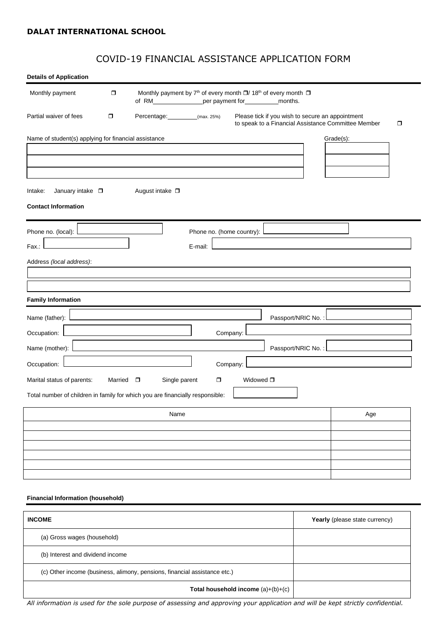# COVID-19 FINANCIAL ASSISTANCE APPLICATION FORM

| <b>Details of Application</b>                                                                               |                   |                         |                                                                                                                                                        |          |                           |                      |                                                                                                         |     |
|-------------------------------------------------------------------------------------------------------------|-------------------|-------------------------|--------------------------------------------------------------------------------------------------------------------------------------------------------|----------|---------------------------|----------------------|---------------------------------------------------------------------------------------------------------|-----|
| Monthly payment                                                                                             | $\Box$            |                         | Monthly payment by 7 <sup>th</sup> of every month □/ 18 <sup>th</sup> of every month □<br>of RM___________________per payment for______________months. |          |                           |                      |                                                                                                         |     |
| Partial waiver of fees                                                                                      | σ                 |                         | Percentage: (max. 25%)                                                                                                                                 |          |                           |                      | Please tick if you wish to secure an appointment<br>to speak to a Financial Assistance Committee Member | σ   |
| Name of student(s) applying for financial assistance                                                        |                   |                         |                                                                                                                                                        |          |                           |                      | Grade(s):                                                                                               |     |
| January intake $\square$<br>Intake:<br><b>Contact Information</b>                                           |                   | August intake $\square$ |                                                                                                                                                        |          |                           |                      |                                                                                                         |     |
| Phone no. (local):<br>Fax.:                                                                                 |                   |                         | E-mail:                                                                                                                                                |          | Phone no. (home country): |                      |                                                                                                         |     |
| Address (local address):                                                                                    |                   |                         |                                                                                                                                                        |          |                           |                      |                                                                                                         |     |
| <b>Family Information</b>                                                                                   |                   |                         |                                                                                                                                                        |          |                           |                      |                                                                                                         |     |
| Name (father):                                                                                              |                   |                         |                                                                                                                                                        |          |                           | Passport/NRIC No.: L |                                                                                                         |     |
| Occupation:<br>Name (mother):                                                                               |                   |                         |                                                                                                                                                        |          | Company:                  | Passport/NRIC No.:   |                                                                                                         |     |
| Occupation:                                                                                                 |                   |                         |                                                                                                                                                        | Company: |                           |                      |                                                                                                         |     |
| Marital status of parents:<br>Total number of children in family for which you are financially responsible: | Married $\square$ |                         | Single parent                                                                                                                                          | σ        | Widowed $\square$         |                      |                                                                                                         |     |
|                                                                                                             |                   |                         | Name                                                                                                                                                   |          |                           |                      |                                                                                                         | Age |
|                                                                                                             |                   |                         |                                                                                                                                                        |          |                           |                      |                                                                                                         |     |
|                                                                                                             |                   |                         |                                                                                                                                                        |          |                           |                      |                                                                                                         |     |
|                                                                                                             |                   |                         |                                                                                                                                                        |          |                           |                      |                                                                                                         |     |
|                                                                                                             |                   |                         |                                                                                                                                                        |          |                           |                      |                                                                                                         |     |
| <b>Financial Information (household)</b>                                                                    |                   |                         |                                                                                                                                                        |          |                           |                      |                                                                                                         |     |
|                                                                                                             |                   |                         |                                                                                                                                                        |          |                           |                      |                                                                                                         |     |

| <b>INCOME</b>                                                             | Yearly (please state currency) |
|---------------------------------------------------------------------------|--------------------------------|
| (a) Gross wages (household)                                               |                                |
| (b) Interest and dividend income                                          |                                |
| (c) Other income (business, alimony, pensions, financial assistance etc.) |                                |
| Total household income $(a)+(b)+(c)$                                      |                                |

*All information is used for the sole purpose of assessing and approving your application and will be kept strictly confidential.*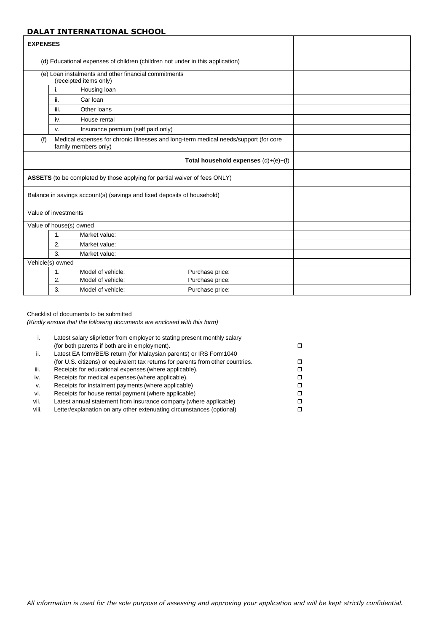| <b>EXPENSES</b> |                                                                                                              |                                                                                |                                                                               |  |
|-----------------|--------------------------------------------------------------------------------------------------------------|--------------------------------------------------------------------------------|-------------------------------------------------------------------------------|--|
|                 |                                                                                                              |                                                                                | (d) Educational expenses of children (children not under in this application) |  |
|                 |                                                                                                              | (e) Loan instalments and other financial commitments<br>(receipted items only) |                                                                               |  |
|                 | j.                                                                                                           | Housing loan                                                                   |                                                                               |  |
|                 | ii.                                                                                                          | Car Ioan                                                                       |                                                                               |  |
|                 | iii.                                                                                                         | Other loans                                                                    |                                                                               |  |
|                 | iv.                                                                                                          | House rental                                                                   |                                                                               |  |
|                 | V.                                                                                                           | Insurance premium (self paid only)                                             |                                                                               |  |
| (f)             | Medical expenses for chronic illnesses and long-term medical needs/support (for core<br>family members only) |                                                                                |                                                                               |  |
|                 |                                                                                                              |                                                                                | Total household expenses $(d)+(e)+(f)$                                        |  |
|                 |                                                                                                              | ASSETS (to be completed by those applying for partial waiver of fees ONLY)     |                                                                               |  |
|                 |                                                                                                              | Balance in savings account(s) (savings and fixed deposits of household)        |                                                                               |  |
|                 | Value of investments                                                                                         |                                                                                |                                                                               |  |
|                 | Value of house(s) owned                                                                                      |                                                                                |                                                                               |  |
|                 | $\mathbf{1}$ .                                                                                               | Market value:                                                                  |                                                                               |  |
|                 | 2.                                                                                                           | Market value:                                                                  |                                                                               |  |
|                 | $\mathbf{3}$                                                                                                 | Market value:                                                                  |                                                                               |  |
|                 | Vehicle(s) owned                                                                                             |                                                                                |                                                                               |  |
|                 | 1 <sub>1</sub>                                                                                               | Model of vehicle:                                                              | Purchase price:                                                               |  |
|                 | $\overline{2}$ .                                                                                             | Model of vehicle:                                                              | Purchase price:                                                               |  |
|                 | 3.                                                                                                           | Model of vehicle:                                                              | Purchase price:                                                               |  |

#### Checklist of documents to be submitted

*(Kindly ensure that the following documents are enclosed with this form)*

| ۱.    | Latest salary slip/letter from employer to stating present monthly salary       |  |
|-------|---------------------------------------------------------------------------------|--|
|       | (for both parents if both are in employment).                                   |  |
| ii.   | Latest EA form/BE/B return (for Malaysian parents) or IRS Form1040              |  |
|       | (for U.S. citizens) or equivalent tax returns for parents from other countries. |  |
| iii.  | Receipts for educational expenses (where applicable).                           |  |
| iv.   | Receipts for medical expenses (where applicable).                               |  |
| V.    | Receipts for instalment payments (where applicable)                             |  |
| vi.   | Receipts for house rental payment (where applicable)                            |  |
| vii.  | Latest annual statement from insurance company (where applicable)               |  |
| viii. | Letter/explanation on any other extenuating circumstances (optional)            |  |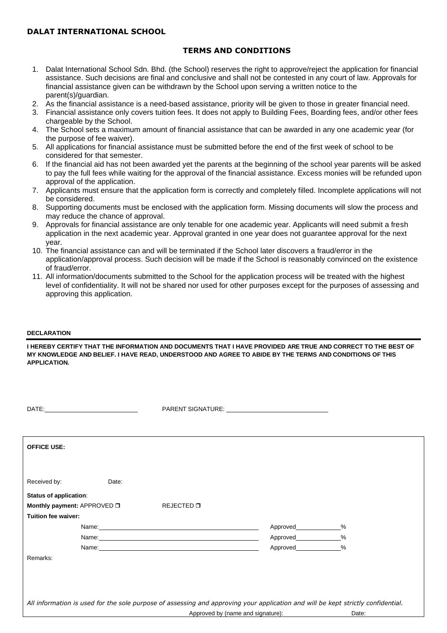## **TERMS AND CONDITIONS**

- 1. Dalat International School Sdn. Bhd. (the School) reserves the right to approve/reject the application for financial assistance. Such decisions are final and conclusive and shall not be contested in any court of law. Approvals for financial assistance given can be withdrawn by the School upon serving a written notice to the parent(s)/guardian.
- 2. As the financial assistance is a need-based assistance, priority will be given to those in greater financial need.
- 3. Financial assistance only covers tuition fees. It does not apply to Building Fees, Boarding fees, and/or other fees chargeable by the School.
- 4. The School sets a maximum amount of financial assistance that can be awarded in any one academic year (for the purpose of fee waiver).
- 5. All applications for financial assistance must be submitted before the end of the first week of school to be considered for that semester.
- 6. If the financial aid has not been awarded yet the parents at the beginning of the school year parents will be asked to pay the full fees while waiting for the approval of the financial assistance. Excess monies will be refunded upon approval of the application.
- 7. Applicants must ensure that the application form is correctly and completely filled. Incomplete applications will not be considered.
- 8. Supporting documents must be enclosed with the application form. Missing documents will slow the process and may reduce the chance of approval.
- 9. Approvals for financial assistance are only tenable for one academic year. Applicants will need submit a fresh application in the next academic year. Approval granted in one year does not guarantee approval for the next year.
- 10. The financial assistance can and will be terminated if the School later discovers a fraud/error in the application/approval process. Such decision will be made if the School is reasonably convinced on the existence of fraud/error.
- 11. All information/documents submitted to the School for the application process will be treated with the highest level of confidentiality. It will not be shared nor used for other purposes except for the purposes of assessing and approving this application.

### **DECLARATION**

**I HEREBY CERTIFY THAT THE INFORMATION AND DOCUMENTS THAT I HAVE PROVIDED ARE TRUE AND CORRECT TO THE BEST OF MY KNOWLEDGE AND BELIEF. I HAVE READ, UNDERSTOOD AND AGREE TO ABIDE BY THE TERMS AND CONDITIONS OF THIS APPLICATION.**

|                                                                                                                                  |       |                                                                                                                                                                                                                               | PARENT SIGNATURE: University of the SARENT SIGNATURE: |       |  |
|----------------------------------------------------------------------------------------------------------------------------------|-------|-------------------------------------------------------------------------------------------------------------------------------------------------------------------------------------------------------------------------------|-------------------------------------------------------|-------|--|
|                                                                                                                                  |       |                                                                                                                                                                                                                               |                                                       |       |  |
| <b>OFFICE USE:</b>                                                                                                               |       |                                                                                                                                                                                                                               |                                                       |       |  |
|                                                                                                                                  |       |                                                                                                                                                                                                                               |                                                       |       |  |
| Received by:                                                                                                                     | Date: |                                                                                                                                                                                                                               |                                                       |       |  |
| <b>Status of application:</b>                                                                                                    |       |                                                                                                                                                                                                                               |                                                       |       |  |
| Monthly payment: APPROVED O                                                                                                      |       | REJECTED □                                                                                                                                                                                                                    |                                                       |       |  |
| Tuition fee waiver:                                                                                                              |       |                                                                                                                                                                                                                               |                                                       |       |  |
|                                                                                                                                  |       | Name: Name: Name: Name: Name: Name: Name: Name: Name: Name: Name: Name: Name: Name: Name: Name: Name: Name: Name: Name: Name: Name: Name: Name: Name: Name: Name: Name: Name: Name: Name: Name: Name: Name: Name: Name: Name: |                                                       | $\%$  |  |
|                                                                                                                                  |       |                                                                                                                                                                                                                               | Approved_____________%                                |       |  |
|                                                                                                                                  |       | Name: Name:                                                                                                                                                                                                                   | Approved                                              | $\%$  |  |
| Remarks:                                                                                                                         |       |                                                                                                                                                                                                                               |                                                       |       |  |
|                                                                                                                                  |       |                                                                                                                                                                                                                               |                                                       |       |  |
|                                                                                                                                  |       |                                                                                                                                                                                                                               |                                                       |       |  |
|                                                                                                                                  |       |                                                                                                                                                                                                                               |                                                       |       |  |
| All information is used for the sole purpose of assessing and approving your application and will be kept strictly confidential. |       |                                                                                                                                                                                                                               |                                                       |       |  |
|                                                                                                                                  |       |                                                                                                                                                                                                                               | Approved by (name and signature):                     | Date: |  |